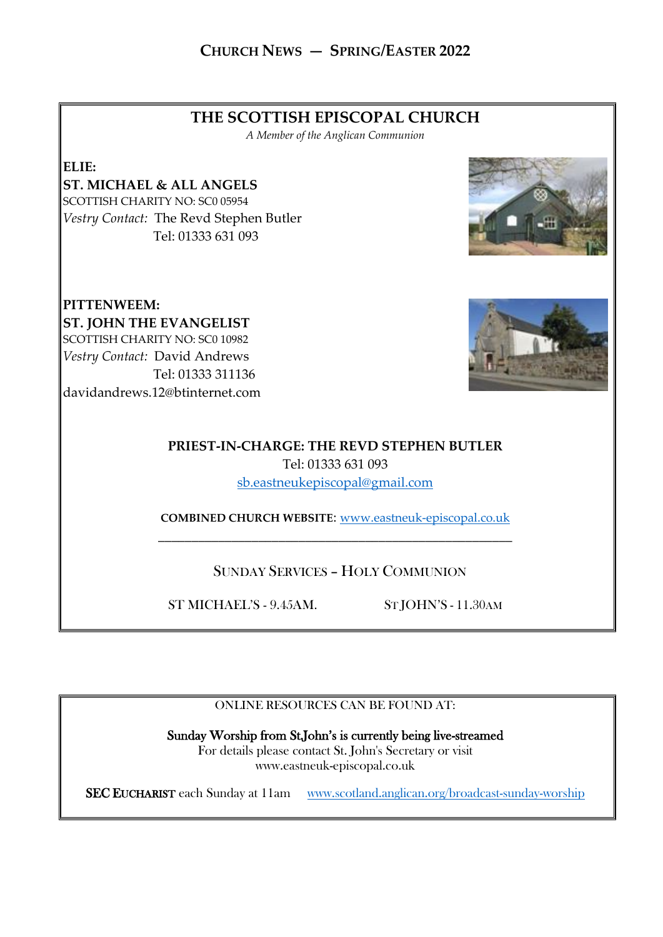# **CHURCH NEWS — SPRING/EASTER 2022**

# **THE SCOTTISH EPISCOPAL CHURCH**

*A Member of the Anglican Communion*

**ELIE:** 

**ST. MICHAEL & ALL ANGELS**

SCOTTISH CHARITY NO: SC0 05954 *Vestry Contact:* The Revd Stephen Butler Tel: 01333 631 093

**PITTENWEEM: ST. JOHN THE EVANGELIST** SCOTTISH CHARITY NO: SC0 10982 *Vestry Contact:* David Andrews Tel: 01333 311136 davidandrews.12@btinternet.com





**PRIEST-IN-CHARGE: THE REVD STEPHEN BUTLER** Tel: 01333 631 093 [sb.eastneukepiscopal@gmail.com](mailto:sb.eastneukepiscopal@gmail.com)

**COMBINED CHURCH WEBSITE**: [www.eastneuk-episcopal.co.uk](http://www.eastneuk-episcopal.co.uk/) \_\_\_\_\_\_\_\_\_\_\_\_\_\_\_\_\_\_\_\_\_\_\_\_\_\_\_\_\_\_\_\_\_\_\_\_\_\_\_\_\_\_\_\_\_\_\_\_\_\_\_\_\_

SUNDAY SERVICES – HOLY COMMUNION

ST MICHAEL'S - 9.45AM. ST JOHN'S - 11.30AM

ONLINE RESOURCES CAN BE FOUND AT:

Sunday Worship from St.John's is currently being live-streamed For details please contact St. John's Secretary or visit www.eastneuk-episcopal.co.uk

SEC EUCHARIST each Sunday at 11am [www.scotland.anglican.org/broadcast-sunday-worship](http://www.scotland.anglican.org/broadcast-sunday-worship)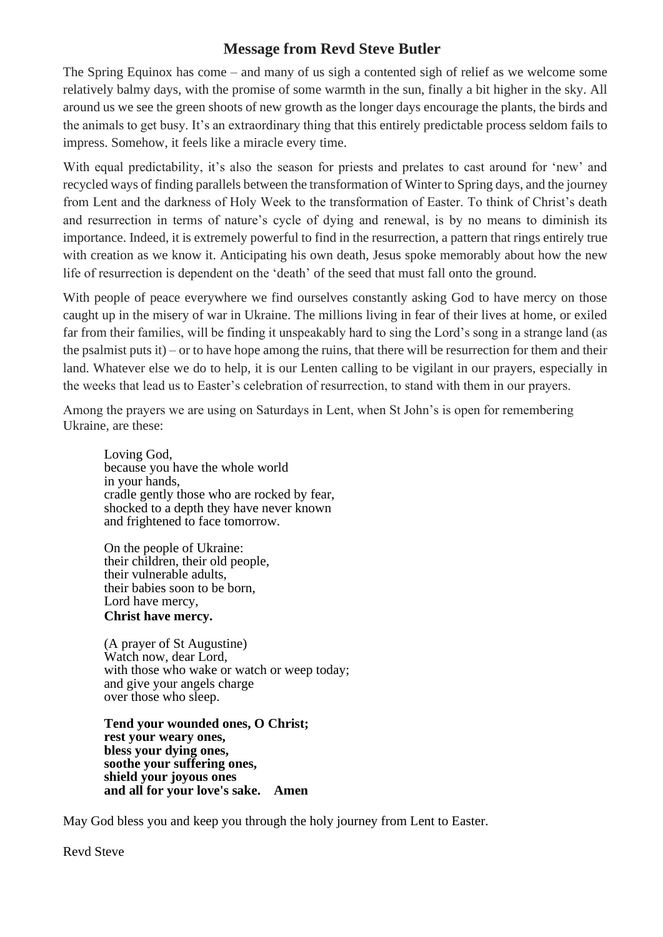# **Message from Revd Steve Butler**

The Spring Equinox has come – and many of us sigh a contented sigh of relief as we welcome some relatively balmy days, with the promise of some warmth in the sun, finally a bit higher in the sky. All around us we see the green shoots of new growth as the longer days encourage the plants, the birds and the animals to get busy. It's an extraordinary thing that this entirely predictable process seldom fails to impress. Somehow, it feels like a miracle every time.

With equal predictability, it's also the season for priests and prelates to cast around for 'new' and recycled ways of finding parallels between the transformation of Winter to Spring days, and the journey from Lent and the darkness of Holy Week to the transformation of Easter. To think of Christ's death and resurrection in terms of nature's cycle of dying and renewal, is by no means to diminish its importance. Indeed, it is extremely powerful to find in the resurrection, a pattern that rings entirely true with creation as we know it. Anticipating his own death, Jesus spoke memorably about how the new life of resurrection is dependent on the 'death' of the seed that must fall onto the ground.

With people of peace everywhere we find ourselves constantly asking God to have mercy on those caught up in the misery of war in Ukraine. The millions living in fear of their lives at home, or exiled far from their families, will be finding it unspeakably hard to sing the Lord's song in a strange land (as the psalmist puts it) – or to have hope among the ruins, that there will be resurrection for them and their land. Whatever else we do to help, it is our Lenten calling to be vigilant in our prayers, especially in the weeks that lead us to Easter's celebration of resurrection, to stand with them in our prayers.

Among the prayers we are using on Saturdays in Lent, when St John's is open for remembering Ukraine, are these:

Loving God, because you have the whole world in your hands, cradle gently those who are rocked by fear, shocked to a depth they have never known and frightened to face tomorrow.

On the people of Ukraine: their children, their old people, their vulnerable adults, their babies soon to be born, Lord have mercy, **Christ have mercy.**

(A prayer of St Augustine) Watch now, dear Lord, with those who wake or watch or weep today; and give your angels charge over those who sleep.

**Tend your wounded ones, O Christ; rest your weary ones, bless your dying ones, soothe your suffering ones, shield your joyous ones and all for your love's sake. Amen**

May God bless you and keep you through the holy journey from Lent to Easter.

Revd Steve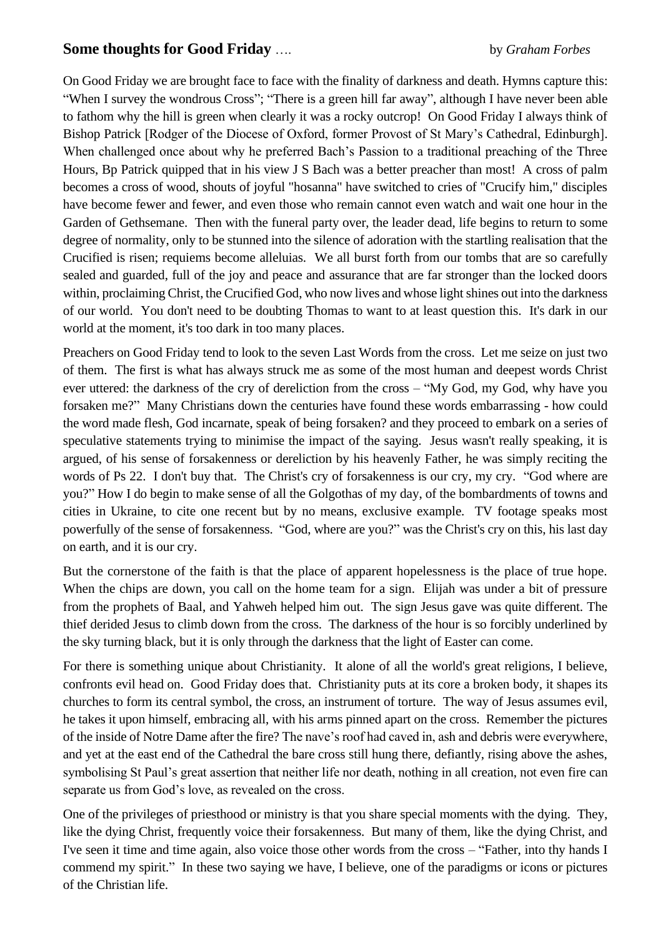#### **Some thoughts for Good Friday ….** by *Graham Forbes*

On Good Friday we are brought face to face with the finality of darkness and death. Hymns capture this: "When I survey the wondrous Cross"; "There is a green hill far away", although I have never been able to fathom why the hill is green when clearly it was a rocky outcrop! On Good Friday I always think of Bishop Patrick [Rodger of the Diocese of Oxford, former Provost of St Mary's Cathedral, Edinburgh]. When challenged once about why he preferred Bach's Passion to a traditional preaching of the Three Hours, Bp Patrick quipped that in his view J S Bach was a better preacher than most! A cross of palm becomes a cross of wood, shouts of joyful "hosanna" have switched to cries of "Crucify him," disciples have become fewer and fewer, and even those who remain cannot even watch and wait one hour in the Garden of Gethsemane. Then with the funeral party over, the leader dead, life begins to return to some degree of normality, only to be stunned into the silence of adoration with the startling realisation that the Crucified is risen; requiems become alleluias. We all burst forth from our tombs that are so carefully sealed and guarded, full of the joy and peace and assurance that are far stronger than the locked doors within, proclaiming Christ, the Crucified God, who now lives and whose light shines out into the darkness of our world. You don't need to be doubting Thomas to want to at least question this. It's dark in our world at the moment, it's too dark in too many places.

Preachers on Good Friday tend to look to the seven Last Words from the cross. Let me seize on just two of them. The first is what has always struck me as some of the most human and deepest words Christ ever uttered: the darkness of the cry of dereliction from the cross – "My God, my God, why have you forsaken me?" Many Christians down the centuries have found these words embarrassing - how could the word made flesh, God incarnate, speak of being forsaken? and they proceed to embark on a series of speculative statements trying to minimise the impact of the saying. Jesus wasn't really speaking, it is argued, of his sense of forsakenness or dereliction by his heavenly Father, he was simply reciting the words of Ps 22. I don't buy that. The Christ's cry of forsakenness is our cry, my cry. "God where are you?" How I do begin to make sense of all the Golgothas of my day, of the bombardments of towns and cities in Ukraine, to cite one recent but by no means, exclusive example. TV footage speaks most powerfully of the sense of forsakenness. "God, where are you?" was the Christ's cry on this, his last day on earth, and it is our cry.

But the cornerstone of the faith is that the place of apparent hopelessness is the place of true hope. When the chips are down, you call on the home team for a sign. Elijah was under a bit of pressure from the prophets of Baal, and Yahweh helped him out. The sign Jesus gave was quite different. The thief derided Jesus to climb down from the cross. The darkness of the hour is so forcibly underlined by the sky turning black, but it is only through the darkness that the light of Easter can come.

For there is something unique about Christianity. It alone of all the world's great religions, I believe, confronts evil head on. Good Friday does that. Christianity puts at its core a broken body, it shapes its churches to form its central symbol, the cross, an instrument of torture. The way of Jesus assumes evil, he takes it upon himself, embracing all, with his arms pinned apart on the cross. Remember the pictures of the inside of Notre Dame after the fire? The nave's roof had caved in, ash and debris were everywhere, and yet at the east end of the Cathedral the bare cross still hung there, defiantly, rising above the ashes, symbolising St Paul's great assertion that neither life nor death, nothing in all creation, not even fire can separate us from God's love, as revealed on the cross.

One of the privileges of priesthood or ministry is that you share special moments with the dying. They, like the dying Christ, frequently voice their forsakenness. But many of them, like the dying Christ, and I've seen it time and time again, also voice those other words from the cross – "Father, into thy hands I commend my spirit." In these two saying we have, I believe, one of the paradigms or icons or pictures of the Christian life.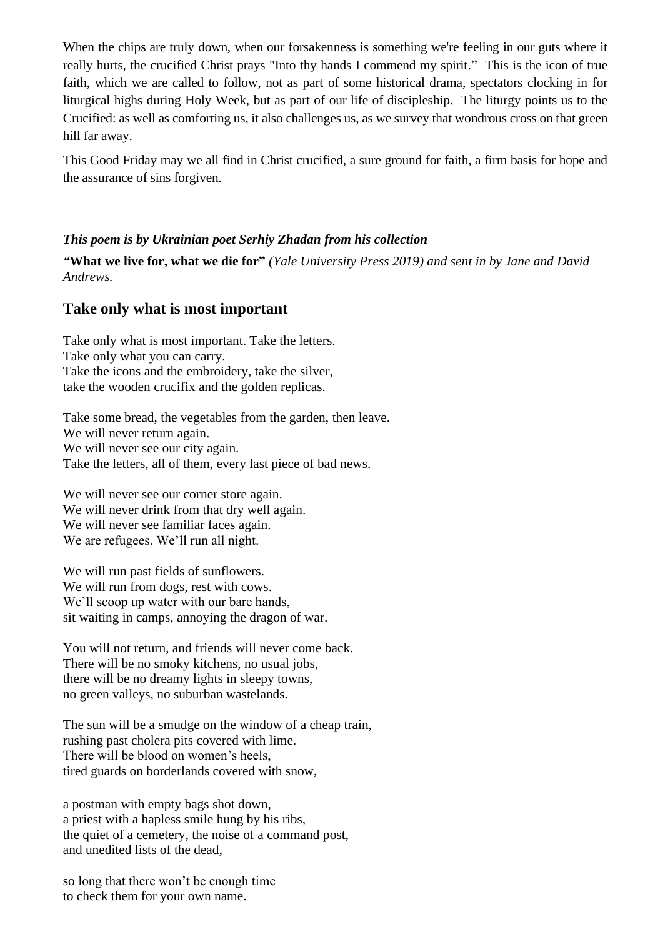When the chips are truly down, when our forsakenness is something we're feeling in our guts where it really hurts, the crucified Christ prays "Into thy hands I commend my spirit." This is the icon of true faith, which we are called to follow, not as part of some historical drama, spectators clocking in for liturgical highs during Holy Week, but as part of our life of discipleship. The liturgy points us to the Crucified: as well as comforting us, it also challenges us, as we survey that wondrous cross on that green hill far away.

This Good Friday may we all find in Christ crucified, a sure ground for faith, a firm basis for hope and the assurance of sins forgiven.

#### *This poem is by Ukrainian poet Serhiy Zhadan from his collection*

*"***What we live for, what we die for"** *(Yale University Press 2019) and sent in by Jane and David Andrews.*

#### **Take only what is most important**

Take only what is most important. Take the letters. Take only what you can carry. Take the icons and the embroidery, take the silver, take the wooden crucifix and the golden replicas.

Take some bread, the vegetables from the garden, then leave. We will never return again. We will never see our city again. Take the letters, all of them, every last piece of bad news.

We will never see our corner store again. We will never drink from that dry well again. We will never see familiar faces again. We are refugees. We'll run all night.

We will run past fields of sunflowers. We will run from dogs, rest with cows. We'll scoop up water with our bare hands, sit waiting in camps, annoying the dragon of war.

You will not return, and friends will never come back. There will be no smoky kitchens, no usual jobs, there will be no dreamy lights in sleepy towns, no green valleys, no suburban wastelands.

The sun will be a smudge on the window of a cheap train, rushing past cholera pits covered with lime. There will be blood on women's heels, tired guards on borderlands covered with snow,

a postman with empty bags shot down, a priest with a hapless smile hung by his ribs, the quiet of a cemetery, the noise of a command post, and unedited lists of the dead,

so long that there won't be enough time to check them for your own name.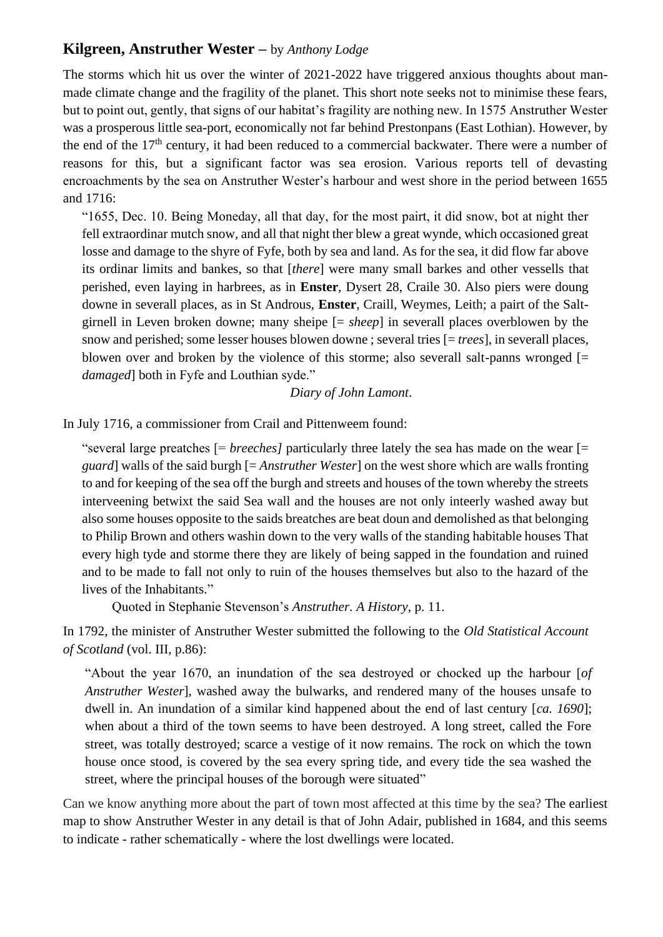### **Kilgreen, Anstruther Wester –** by *Anthony Lodge*

The storms which hit us over the winter of 2021-2022 have triggered anxious thoughts about manmade climate change and the fragility of the planet. This short note seeks not to minimise these fears, but to point out, gently, that signs of our habitat's fragility are nothing new. In 1575 Anstruther Wester was a prosperous little sea-port, economically not far behind Prestonpans (East Lothian). However, by the end of the 17<sup>th</sup> century, it had been reduced to a commercial backwater. There were a number of reasons for this, but a significant factor was sea erosion. Various reports tell of devasting encroachments by the sea on Anstruther Wester's harbour and west shore in the period between 1655 and 1716:

"1655, Dec. 10. Being Moneday, all that day, for the most pairt, it did snow, bot at night ther fell extraordinar mutch snow, and all that night ther blew a great wynde, which occasioned great losse and damage to the shyre of Fyfe, both by sea and land. As for the sea, it did flow far above its ordinar limits and bankes, so that [*there*] were many small barkes and other vessells that perished, even laying in harbrees, as in **Enster**, Dysert 28, Craile 30. Also piers were doung downe in severall places, as in St Androus, **Enster**, Craill, Weymes, Leith; a pairt of the Saltgirnell in Leven broken downe; many sheipe [= *sheep*] in severall places overblowen by the snow and perished; some lesser houses blowen downe ; several tries [= *trees*], in severall places, blowen over and broken by the violence of this storme; also severall salt-panns wronged [= *damaged*] both in Fyfe and Louthian syde."

*Diary of John Lamont*.

In July 1716, a commissioner from Crail and Pittenweem found:

"several large preatches [= *breeches]* particularly three lately the sea has made on the wear [= *guard*] walls of the said burgh [= *Anstruther Wester*] on the west shore which are walls fronting to and for keeping of the sea off the burgh and streets and houses of the town whereby the streets interveening betwixt the said Sea wall and the houses are not only inteerly washed away but also some houses opposite to the saids breatches are beat doun and demolished as that belonging to Philip Brown and others washin down to the very walls of the standing habitable houses That every high tyde and storme there they are likely of being sapped in the foundation and ruined and to be made to fall not only to ruin of the houses themselves but also to the hazard of the lives of the Inhabitants."

Quoted in Stephanie Stevenson's *Anstruther. A History*, p. 11.

In 1792, the minister of Anstruther Wester submitted the following to the *Old Statistical Account of Scotland* (vol. III, p.86):

"About the year 1670, an inundation of the sea destroyed or chocked up the harbour [*of Anstruther Wester*], washed away the bulwarks, and rendered many of the houses unsafe to dwell in. An inundation of a similar kind happened about the end of last century [*ca. 1690*]; when about a third of the town seems to have been destroyed. A long street, called the Fore street, was totally destroyed; scarce a vestige of it now remains. The rock on which the town house once stood, is covered by the sea every spring tide, and every tide the sea washed the street, where the principal houses of the borough were situated"

Can we know anything more about the part of town most affected at this time by the sea? The earliest map to show Anstruther Wester in any detail is that of John Adair, published in 1684, and this seems to indicate - rather schematically - where the lost dwellings were located.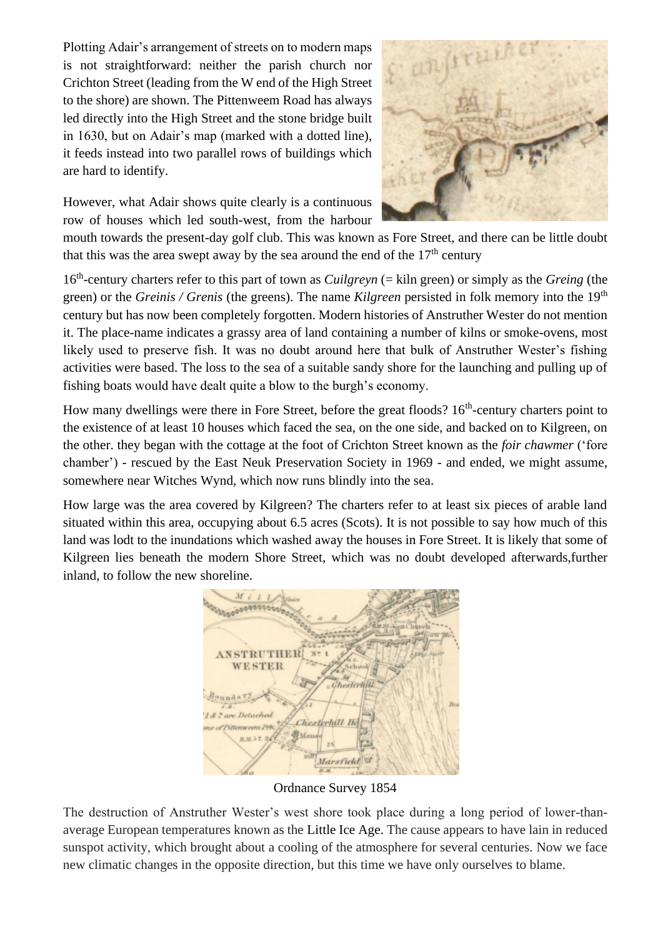Plotting Adair's arrangement of streets on to modern maps is not straightforward: neither the parish church nor Crichton Street (leading from the W end of the High Street to the shore) are shown. The Pittenweem Road has always led directly into the High Street and the stone bridge built in 1630, but on Adair's map (marked with a dotted line), it feeds instead into two parallel rows of buildings which are hard to identify.

However, what Adair shows quite clearly is a continuous row of houses which led south-west, from the harbour



mouth towards the present-day golf club. This was known as Fore Street, and there can be little doubt that this was the area swept away by the sea around the end of the  $17<sup>th</sup>$  century

16th -century charters refer to this part of town as *Cuilgreyn* (= kiln green) or simply as the *Greing* (the green) or the *Greinis / Grenis* (the greens). The name *Kilgreen* persisted in folk memory into the 19<sup>th</sup> century but has now been completely forgotten. Modern histories of Anstruther Wester do not mention it. The place-name indicates a grassy area of land containing a number of kilns or smoke-ovens, most likely used to preserve fish. It was no doubt around here that bulk of Anstruther Wester's fishing activities were based. The loss to the sea of a suitable sandy shore for the launching and pulling up of fishing boats would have dealt quite a blow to the burgh's economy.

How many dwellings were there in Fore Street, before the great floods? 16<sup>th</sup>-century charters point to the existence of at least 10 houses which faced the sea, on the one side, and backed on to Kilgreen, on the other. they began with the cottage at the foot of Crichton Street known as the *foir chawmer* ('fore chamber') - rescued by the East Neuk Preservation Society in 1969 - and ended, we might assume, somewhere near Witches Wynd, which now runs blindly into the sea.

How large was the area covered by Kilgreen? The charters refer to at least six pieces of arable land situated within this area, occupying about 6.5 acres (Scots). It is not possible to say how much of this land was lodt to the inundations which washed away the houses in Fore Street. It is likely that some of Kilgreen lies beneath the modern Shore Street, which was no doubt developed afterwards,further inland, to follow the new shoreline.

| $M$ $i$ $l$ $l$ $l$ Statec           |                                   |
|--------------------------------------|-----------------------------------|
|                                      |                                   |
|                                      | (M.25.5)<br>a Church<br>Flown Ho. |
|                                      |                                   |
| <b>ANSTRUTHER</b>                    |                                   |
| <b>WESTER</b>                        | School<br><i>hesterhill</i>       |
| $B_{\sigma \mathbf{u} \mathbf{n}}$   | Bea                               |
| I & 2 are Detached<br>Chesterhill Ho |                                   |
| ons of Pittenweem Pok                |                                   |
| Manuel<br>B.M. 57. 24<br>25          |                                   |
| H <sub>2</sub> H<br>Marsfield        |                                   |
|                                      |                                   |

Ordnance Survey 1854

The destruction of Anstruther Wester's west shore took place during a long period of lower-thanaverage European temperatures known as the [Little Ice Age.](https://en.wikipedia.org/wiki/Little_Ice_Age) The cause appears to have lain in reduced sunspot activity, which brought about a cooling of the atmosphere for several centuries. Now we face new climatic changes in the opposite direction, but this time we have only ourselves to blame.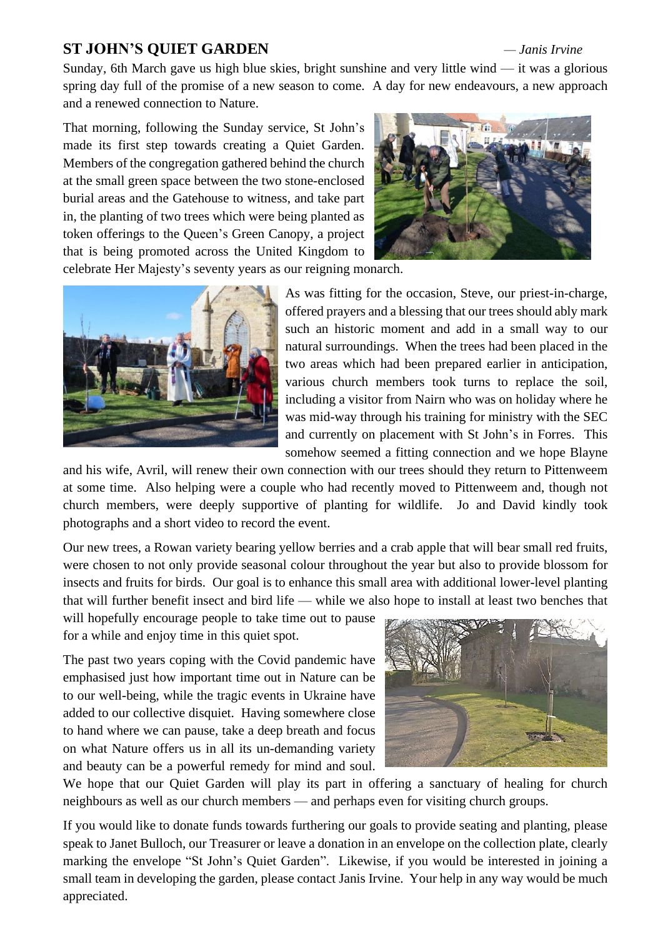## **ST JOHN'S QUIET GARDEN** *— Janis Irvine*

Sunday, 6th March gave us high blue skies, bright sunshine and very little wind — it was a glorious spring day full of the promise of a new season to come. A day for new endeavours, a new approach and a renewed connection to Nature.

That morning, following the Sunday service, St John's made its first step towards creating a Quiet Garden. Members of the congregation gathered behind the church at the small green space between the two stone-enclosed burial areas and the Gatehouse to witness, and take part in, the planting of two trees which were being planted as token offerings to the Queen's Green Canopy, a project that is being promoted across the United Kingdom to celebrate Her Majesty's seventy years as our reigning monarch.



As was fitting for the occasion, Steve, our priest-in-charge, offered prayers and a blessing that our trees should ably mark such an historic moment and add in a small way to our natural surroundings. When the trees had been placed in the two areas which had been prepared earlier in anticipation, various church members took turns to replace the soil, including a visitor from Nairn who was on holiday where he was mid-way through his training for ministry with the SEC and currently on placement with St John's in Forres. This somehow seemed a fitting connection and we hope Blayne

and his wife, Avril, will renew their own connection with our trees should they return to Pittenweem at some time. Also helping were a couple who had recently moved to Pittenweem and, though not church members, were deeply supportive of planting for wildlife. Jo and David kindly took photographs and a short video to record the event.

Our new trees, a Rowan variety bearing yellow berries and a crab apple that will bear small red fruits, were chosen to not only provide seasonal colour throughout the year but also to provide blossom for insects and fruits for birds. Our goal is to enhance this small area with additional lower-level planting that will further benefit insect and bird life — while we also hope to install at least two benches that

will hopefully encourage people to take time out to pause for a while and enjoy time in this quiet spot.

The past two years coping with the Covid pandemic have emphasised just how important time out in Nature can be to our well-being, while the tragic events in Ukraine have added to our collective disquiet. Having somewhere close to hand where we can pause, take a deep breath and focus on what Nature offers us in all its un-demanding variety and beauty can be a powerful remedy for mind and soul.



We hope that our Quiet Garden will play its part in offering a sanctuary of healing for church neighbours as well as our church members — and perhaps even for visiting church groups.

If you would like to donate funds towards furthering our goals to provide seating and planting, please speak to Janet Bulloch, our Treasurer or leave a donation in an envelope on the collection plate, clearly marking the envelope "St John's Quiet Garden". Likewise, if you would be interested in joining a small team in developing the garden, please contact Janis Irvine. Your help in any way would be much appreciated.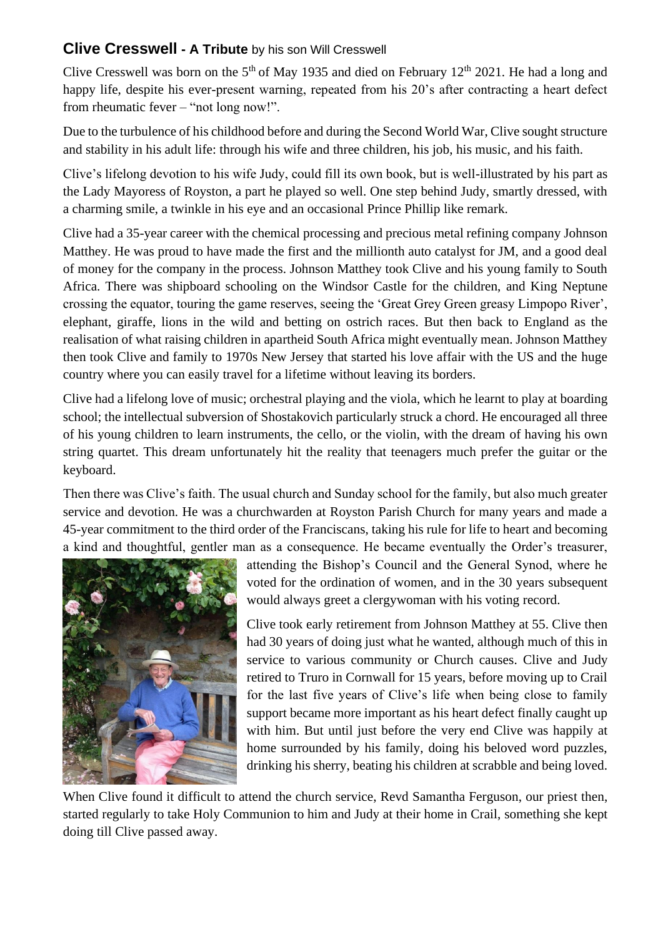# **Clive Cresswell - A Tribute** by his son Will Cresswell

Clive Cresswell was born on the  $5<sup>th</sup>$  of May 1935 and died on February 12<sup>th</sup> 2021. He had a long and happy life, despite his ever-present warning, repeated from his 20's after contracting a heart defect from rheumatic fever – "not long now!".

Due to the turbulence of his childhood before and during the Second World War, Clive sought structure and stability in his adult life: through his wife and three children, his job, his music, and his faith.

Clive's lifelong devotion to his wife Judy, could fill its own book, but is well-illustrated by his part as the Lady Mayoress of Royston, a part he played so well. One step behind Judy, smartly dressed, with a charming smile, a twinkle in his eye and an occasional Prince Phillip like remark.

Clive had a 35-year career with the chemical processing and precious metal refining company Johnson Matthey. He was proud to have made the first and the millionth auto catalyst for JM, and a good deal of money for the company in the process. Johnson Matthey took Clive and his young family to South Africa. There was shipboard schooling on the Windsor Castle for the children, and King Neptune crossing the equator, touring the game reserves, seeing the 'Great Grey Green greasy Limpopo River', elephant, giraffe, lions in the wild and betting on ostrich races. But then back to England as the realisation of what raising children in apartheid South Africa might eventually mean. Johnson Matthey then took Clive and family to 1970s New Jersey that started his love affair with the US and the huge country where you can easily travel for a lifetime without leaving its borders.

Clive had a lifelong love of music; orchestral playing and the viola, which he learnt to play at boarding school; the intellectual subversion of Shostakovich particularly struck a chord. He encouraged all three of his young children to learn instruments, the cello, or the violin, with the dream of having his own string quartet. This dream unfortunately hit the reality that teenagers much prefer the guitar or the keyboard.

Then there was Clive's faith. The usual church and Sunday school for the family, but also much greater service and devotion. He was a churchwarden at Royston Parish Church for many years and made a 45-year commitment to the third order of the Franciscans, taking his rule for life to heart and becoming a kind and thoughtful, gentler man as a consequence. He became eventually the Order's treasurer,



attending the Bishop's Council and the General Synod, where he voted for the ordination of women, and in the 30 years subsequent would always greet a clergywoman with his voting record.

Clive took early retirement from Johnson Matthey at 55. Clive then had 30 years of doing just what he wanted, although much of this in service to various community or Church causes. Clive and Judy retired to Truro in Cornwall for 15 years, before moving up to Crail for the last five years of Clive's life when being close to family support became more important as his heart defect finally caught up with him. But until just before the very end Clive was happily at home surrounded by his family, doing his beloved word puzzles, drinking his sherry, beating his children at scrabble and being loved.

When Clive found it difficult to attend the church service, Revd Samantha Ferguson, our priest then, started regularly to take Holy Communion to him and Judy at their home in Crail, something she kept doing till Clive passed away.